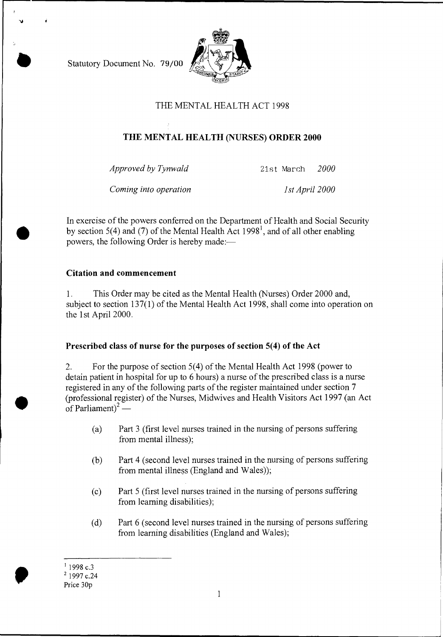Statutory Document No. 79/00



## THE MENTAL HEALTH ACT 1998

# **THE MENTAL HEALTH (NURSES) ORDER 2000**

*Approved by Tynwald* 21st March *2000* 

*Coming into operation* 1st April 2000

In exercise of the powers conferred on the Department of Health and Social Security by section 5(4) and (7) of the Mental Health Act  $1998<sup>1</sup>$ , and of all other enabling powers, the following Order is hereby made:—

#### **Citation and commencement**

1. This Order may be cited as the Mental Health (Nurses) Order 2000 and, subject to section 137(1) of the Mental Health Act 1998, shall come into operation on the 1st April 2000.

### **Prescribed class of nurse for the purposes of section 5(4) of the Act**

2. For the purpose of section 5(4) of the Mental Health Act 1998 (power to detain patient in hospital for up to 6 hours) a nurse of the prescribed class is a nurse registered in any of the following parts of the register maintained under section 7 (professional register) of the Nurses, Midwives and Health Visitors Act 1997 (an Act of Parliament)<sup>2</sup> —

- (a) Part 3 (first level nurses trained in the nursing of persons suffering from mental illness);
- (b) Part 4 (second level nurses trained in the nursing of persons suffering from mental illness (England and Wales));
- (c) Part 5 (first level nurses trained in the nursing of persons suffering from learning disabilities);
- (d) Part 6 (second level nurses trained in the nursing of persons suffering from learning disabilities (England and Wales);

 $11998$  c.3

<sup>2</sup> 1997 c.24

Price 30p